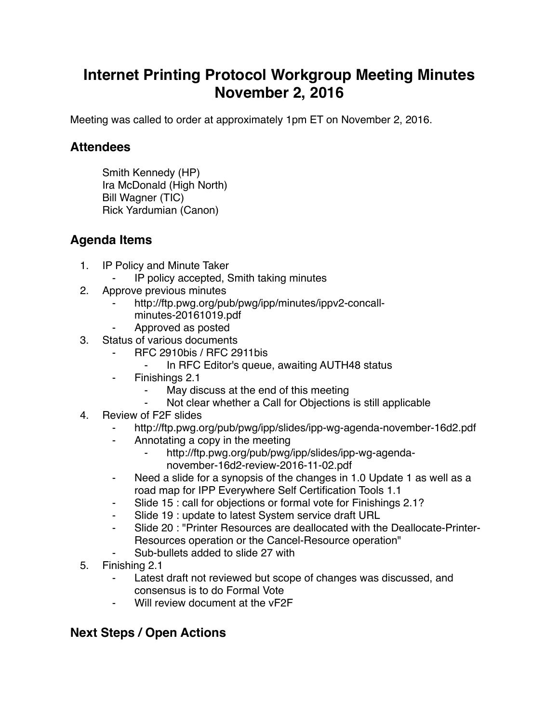## **Internet Printing Protocol Workgroup Meeting Minutes November 2, 2016**

Meeting was called to order at approximately 1pm ET on November 2, 2016.

## **Attendees**

Smith Kennedy (HP) Ira McDonald (High North) Bill Wagner (TIC) Rick Yardumian (Canon)

## **Agenda Items**

- 1. IP Policy and Minute Taker
	- IP policy accepted, Smith taking minutes
- 2. Approve previous minutes
	- http://ftp.pwg.org/pub/pwg/ipp/minutes/ippv2-concall
		- minutes-20161019.pdf
	- ⁃ Approved as posted
- 3. Status of various documents
	- ⁃ RFC 2910bis / RFC 2911bis
		- In RFC Editor's queue, awaiting AUTH48 status
	- ⁃ Finishings 2.1
		- ⁃ May discuss at the end of this meeting
		- Not clear whether a Call for Objections is still applicable
- 4. Review of F2F slides
	- ⁃ http://ftp.pwg.org/pub/pwg/ipp/slides/ipp-wg-agenda-november-16d2.pdf
	- Annotating a copy in the meeting
		- http://ftp.pwg.org/pub/pwg/ipp/slides/ipp-wg-agendanovember-16d2-review-2016-11-02.pdf
	- ⁃ Need a slide for a synopsis of the changes in 1.0 Update 1 as well as a road map for IPP Everywhere Self Certification Tools 1.1
	- Slide 15 : call for objections or formal vote for Finishings 2.1?
	- Slide 19 : update to latest System service draft URL
	- Slide 20 : "Printer Resources are deallocated with the Deallocate-Printer-Resources operation or the Cancel-Resource operation"
	- Sub-bullets added to slide 27 with
- 5. Finishing 2.1
	- Latest draft not reviewed but scope of changes was discussed, and consensus is to do Formal Vote
	- ⁃ Will review document at the vF2F

## **Next Steps / Open Actions**